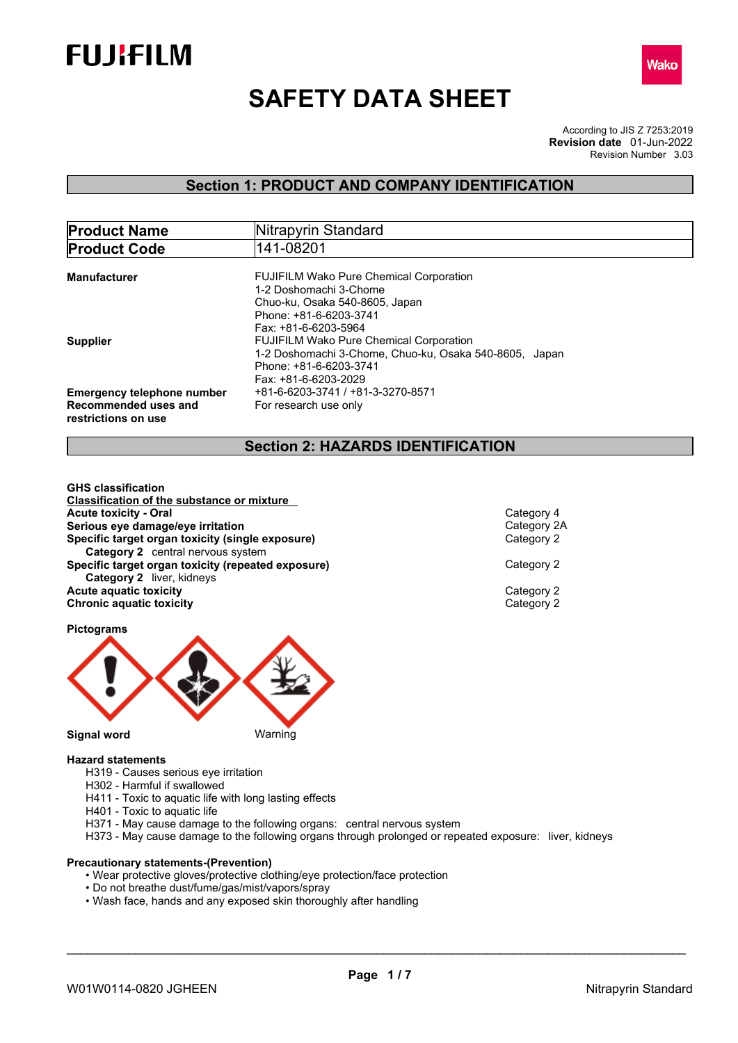



# **SAFETY DATA SHEET**

According to JIS Z 7253:2019 Revision Number 3.03 **Revision date** 01-Jun-2022

### **Section 1: PRODUCT AND COMPANY IDENTIFICATION**

| <b>Product Name</b>               | Nitrapyrin Standard                                    |  |
|-----------------------------------|--------------------------------------------------------|--|
| <b>Product Code</b>               | 141-08201                                              |  |
|                                   |                                                        |  |
| Manufacturer                      | <b>FUJIFILM Wako Pure Chemical Corporation</b>         |  |
|                                   | 1-2 Doshomachi 3-Chome                                 |  |
|                                   | Chuo-ku, Osaka 540-8605, Japan                         |  |
|                                   | Phone: +81-6-6203-3741                                 |  |
|                                   | Fax: +81-6-6203-5964                                   |  |
| <b>Supplier</b>                   | <b>FUJIFILM Wako Pure Chemical Corporation</b>         |  |
|                                   | 1-2 Doshomachi 3-Chome, Chuo-ku, Osaka 540-8605, Japan |  |
|                                   | Phone: +81-6-6203-3741                                 |  |
|                                   | Fax: +81-6-6203-2029                                   |  |
| <b>Emergency telephone number</b> | +81-6-6203-3741 / +81-3-3270-8571                      |  |
| Recommended uses and              | For research use only                                  |  |
| restrictions on use               |                                                        |  |
|                                   |                                                        |  |

### **Section 2: HAZARDS IDENTIFICATION**

**GHS classification Classification of the substance or mixture Acute toxicity - Oral Acute toxicity** - Oral<br> **Serious** eve damage/eve irritation<br>
Category 2A **Serious eye damage/eye irritation**<br> **Specific target organ toxicity (single exposure)**<br>
Category 2 **Specific target organ toxicity (single exposure) Category 2** central nervous system **Specific target organ toxicity (repeated exposure) Category 2 Category 2** liver, kidneys **Acute aquatic toxicity**<br> **Category 2**<br> **Chronic aquatic toxicity**<br>
Category 2 **Chronic aquatic toxicity** 

### **Pictograms**



#### **Hazard statements**

- H319 Causes serious eye irritation
- H302 Harmful if swallowed
- H411 Toxic to aquatic life with long lasting effects
- H401 Toxic to aquatic life
- H371 May cause damage to the following organs: central nervous system
- H373 May cause damage to the following organs through prolonged or repeated exposure: liver, kidneys

#### **Precautionary statements-(Prevention)**

- Wear protective gloves/protective clothing/eye protection/face protection
- Do not breathe dust/fume/gas/mist/vapors/spray
- Wash face, hands and any exposed skin thoroughly after handling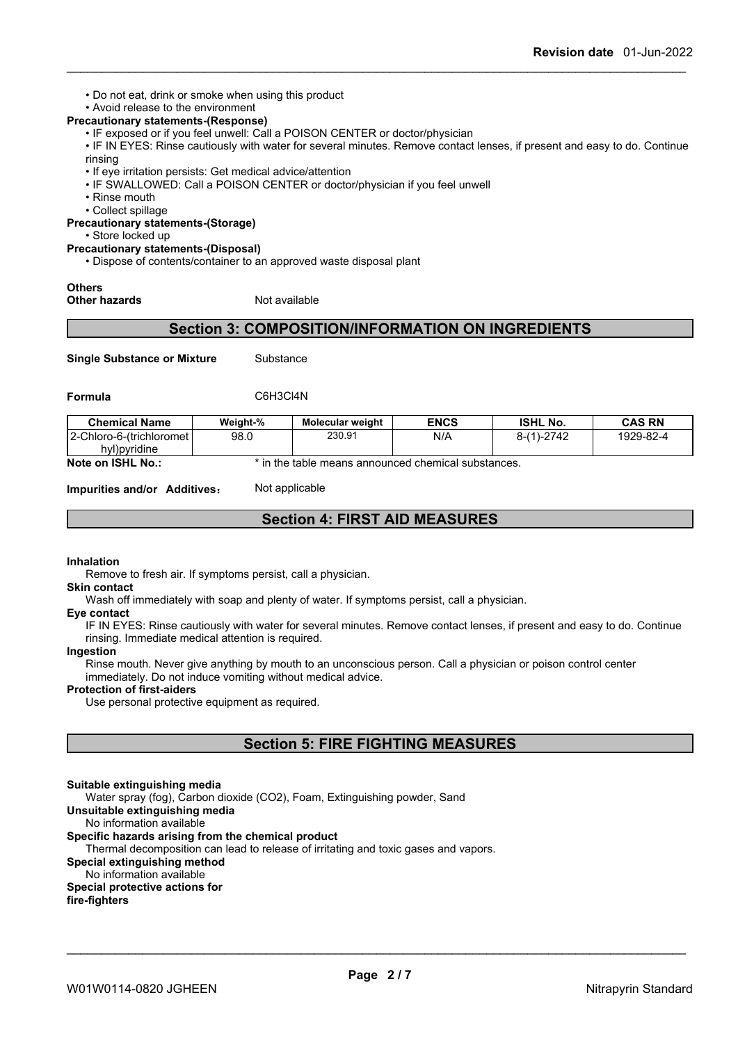• Do not eat, drink or smoke when using this product

### • Avoid release to the environment

- **Precautionary statements-(Response)**
	- IF exposed or if you feel unwell: Call a POISON CENTER or doctor/physician

• IF IN EYES: Rinse cautiously with water for several minutes. Remove contact lenses, if present and easy to do. Continue rinsing

- If eye irritation persists: Get medical advice/attention
- IF SWALLOWED: Call a POISON CENTER or doctor/physician if you feel unwell
- Rinse mouth
- Collect spillage

**Precautionary statements-(Storage)**

• Store locked up

#### **Precautionary statements-(Disposal)**

• Dispose of contents/container to an approved waste disposal plant

### **Others**

**Other hazards** Not available

### **Section 3: COMPOSITION/INFORMATION ON INGREDIENTS**

**Single Substance or Mixture** Substance

**Formula** C6H3Cl4N

| <b>Chemical Name</b>        | Weight-% | <b>Molecular weight</b>                             | <b>ENCS</b> | <b>ISHL No.</b> | <b>CAS RN</b> |
|-----------------------------|----------|-----------------------------------------------------|-------------|-----------------|---------------|
| 12-Chloro-6-(trichloromet l | 98.0     | 230.91                                              | N/A         | $8-(1)-2742$    | 1929-82-4     |
| hyl)pyridine                |          |                                                     |             |                 |               |
| Note on ISHL No.:           |          | * in the table means announced chemical substances. |             |                 |               |

**Impurities and/or Additives:** Not applicable

### **Section 4: FIRST AID MEASURES**

#### **Inhalation**

Remove to fresh air. If symptoms persist, call a physician.

**Skin contact**

Wash off immediately with soap and plenty of water. If symptoms persist, call a physician.

#### **Eye contact**

IF IN EYES: Rinse cautiously with water for several minutes. Remove contact lenses, if present and easy to do. Continue rinsing. Immediate medical attention is required.

#### **Ingestion**

Rinse mouth. Never give anything by mouth to an unconscious person. Call a physician or poison control center immediately. Do not induce vomiting without medical advice.

#### **Protection of first-aiders**

Use personal protective equipment as required.

### **Section 5: FIRE FIGHTING MEASURES**

#### **Suitable extinguishing media**

Water spray (fog), Carbon dioxide (CO2), Foam, Extinguishing powder, Sand

#### **Unsuitable extinguishing media**

No information available

#### **Specific hazards arising from the chemical product**

Thermal decomposition can lead to release of irritating and toxic gases and vapors.

#### **Special extinguishing method**

No information available

#### **Special protective actions for**

**fire-fighters**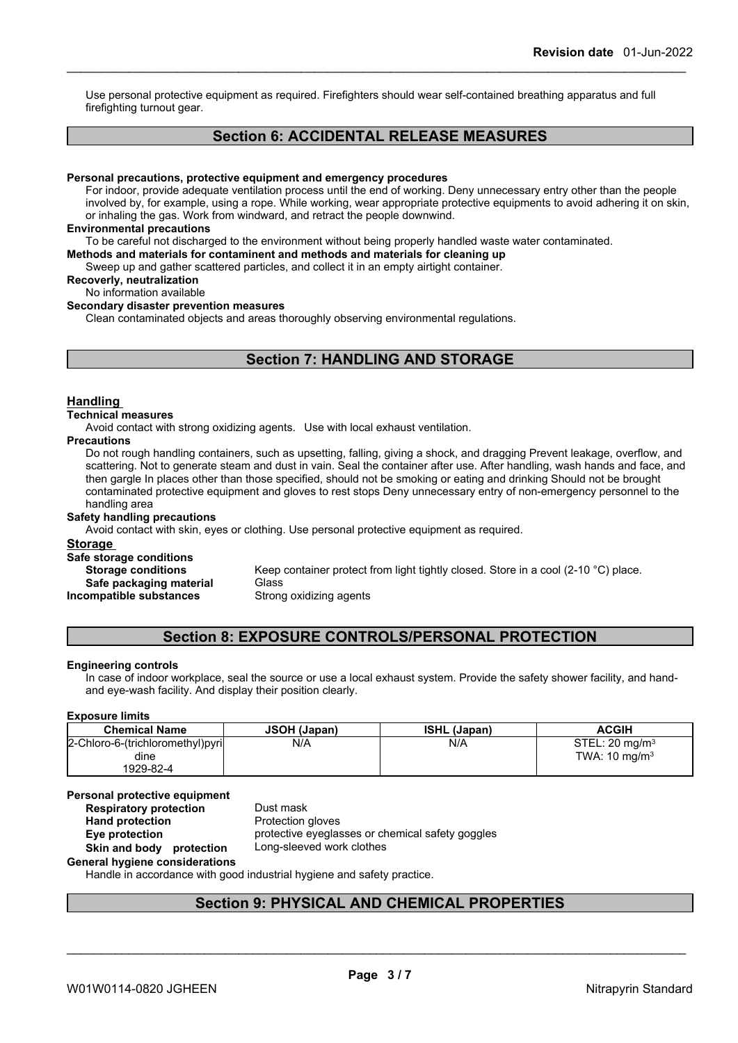Use personal protective equipment as required.Firefighters should wear self-contained breathing apparatus and full firefighting turnout gear.

### **Section 6: ACCIDENTAL RELEASE MEASURES**

#### **Personal precautions, protective equipment and emergency procedures**

For indoor, provide adequate ventilation process until the end of working. Deny unnecessary entry other than the people involved by, for example, using a rope. While working, wear appropriate protective equipments to avoid adhering it on skin, or inhaling the gas. Work from windward, and retract the people downwind.

#### **Environmental precautions**

To be careful not discharged to the environment without being properly handled waste water contaminated.

**Methods and materials for contaminent and methods and materials for cleaning up**

Sweep up and gather scattered particles, and collect it in an empty airtight container.

**Recoverly, neutralization**

### No information available

#### **Secondary disaster prevention measures**

Clean contaminated objects and areas thoroughly observing environmental regulations.

### **Section 7: HANDLING AND STORAGE**

#### **Handling**

#### **Technical measures**

Avoid contact with strong oxidizing agents. Use with local exhaust ventilation.

#### **Precautions**

Do not rough handling containers, such as upsetting, falling, giving a shock, and dragging Prevent leakage, overflow, and scattering. Not to generate steam and dust in vain. Seal the container after use. After handling, wash hands and face, and then gargle In places other than those specified, should not be smoking or eating and drinking Should not be brought contaminated protective equipment and gloves to rest stops Deny unnecessary entry of non-emergency personnel to the handling area

#### **Safety handling precautions**

Avoid contact with skin, eyes or clothing. Use personal protective equipment as required.

#### **Storage**

**Safe storage conditions Storage conditions** Keep container protect from light tightly closed. Store in a cool (2-10 °C) place.

**Incompatible** substances

**Safe packaging material** Glass<br>**ompatible substances** Strong oxidizing agents

### **Section 8: EXPOSURE CONTROLS/PERSONAL PROTECTION**

#### **Engineering controls**

In case of indoor workplace, seal the source or use a local exhaust system. Provide the safety shower facility, and handand eye-wash facility. And display their position clearly.

#### **Exposure limits**

| <b>Chemical Name</b>             | <b>JSOH (Japan)</b> | <b>ISHL (Japan)</b> | <b>ACGIH</b>                 |
|----------------------------------|---------------------|---------------------|------------------------------|
| 2-Chloro-6-(trichloromethyl)pyri | N/A                 | N/A                 | $STEL: 20$ ma/m <sup>3</sup> |
| dine                             |                     |                     | TWA: $10 \text{ mg/m}^3$     |
| 1929-82-4                        |                     |                     |                              |

#### **Personal protective equipment**<br>**Respiratory protection** Dust mask **Respiratory** protection

**Hand protection** Protection gloves **Eye protection** protective eyeglasses or chemical safety goggles **Skin and body protection** Long-sleeved work clothes

**General hygiene considerations**

Handle in accordance with good industrial hygiene and safety practice.

### **Section 9: PHYSICAL AND CHEMICAL PROPERTIES**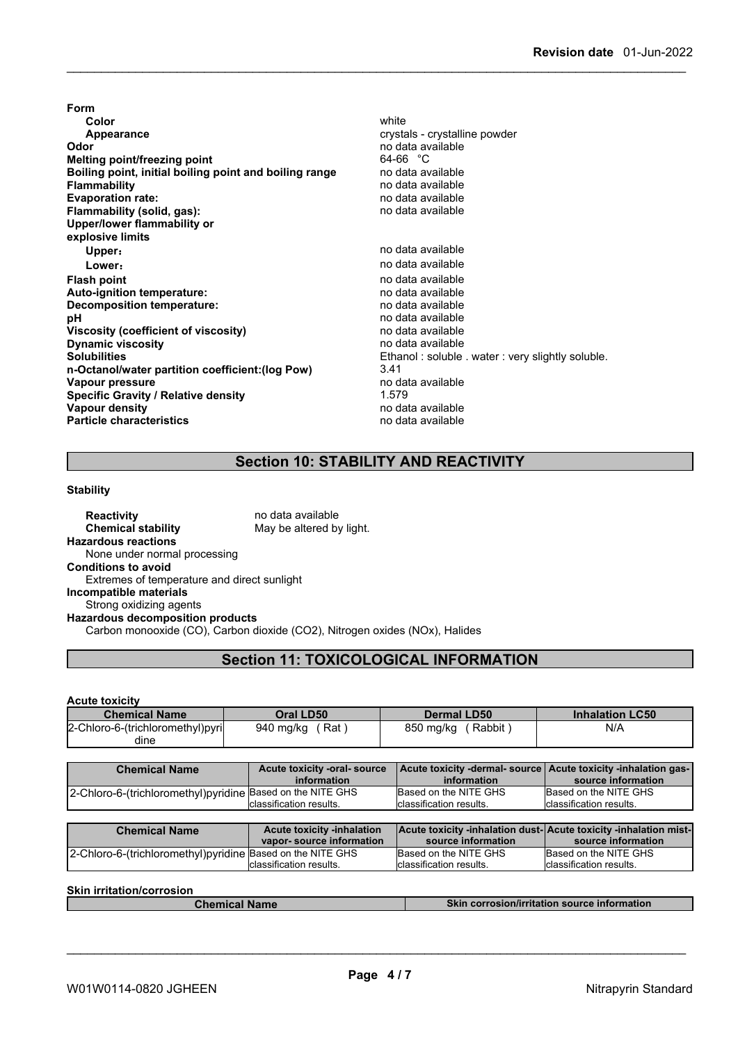**Form Color** white **Color** white **Color** white **Color** white **Color** white **Color Color Color Color Color Color Color Color Color Color Color Color Color Color Color Color Color Color Color Appearance** crystals - crystalline powder **Odor** no data available **Melting point/freezing point**<br>**Boiling point, initial boiling point and boiling range** and data available **Boiling point, initial boiling point and boiling range<br>Flammability Evaporation rate:** no data available **Flammability** (solid, gas): **Upper/lower flammability or explosive limits Upper:** no data available **Lower:** no data available **Flash point** no data available **Auto-ignition temperature: Decomposition temperature:** no data available **pH** no data available<br> **Viscosity (coefficient of viscosity)** no data available **Viscosity (coefficient of viscosity)** no data available **Dynamic** viscosity **Solubilities** Ethanol: soluble . water: very slightly soluble. **n-Octanol/water partition coefficient:(log Pow)** 3.41 **Vapour pressure** no data available<br> **Specific Gravity / Relative density** 1.579 1.579 **Specific Gravity / Relative density** 1.579 1.579<br> **Vapour density** 1.579 no data available **Vapour density Particle characteristics** no data available

**Flammability** no data available

### **Section 10: STABILITY AND REACTIVITY**

#### **Stability**

**Reactivity no data available Chemical stability** May be altered by light. **Hazardous reactions** None under normal processing **Conditions to avoid** Extremes of temperature and direct sunlight **Incompatible materials** Strong oxidizing agents **Hazardous decomposition products** Carbon monooxide (CO), Carbon dioxide (CO2), Nitrogen oxides (NOx), Halides

### **Section 11: TOXICOLOGICAL INFORMATION**

**Acute toxicity**

| <b>Chemical Name</b>             | Oral LD50        | <b>Dermal LD50</b>  | <b>Inhalation LC50</b> |
|----------------------------------|------------------|---------------------|------------------------|
| 2-Chloro-6-(trichloromethyl)pyri | Rat<br>940 mg/kg | 850 ma/ka<br>Rabbit | N/A                    |
| dine                             |                  |                     |                        |

| <b>Chemical Name</b>                                        | Acute toxicity -oral- source<br>information | Acute toxicity -dermal-source Acute toxicity -inhalation gas-<br>information | source information       |
|-------------------------------------------------------------|---------------------------------------------|------------------------------------------------------------------------------|--------------------------|
| 2-Chloro-6-(trichloromethyl) pyridine Based on the NITE GHS |                                             | Based on the NITE GHS                                                        | Based on the NITE GHS    |
|                                                             | classification results.                     | Iclassification results.                                                     | Iclassification results. |

| <b>Chemical Name</b>                                        | <b>Acute toxicity -inhalation</b> | <b>Acute toxicity -inhalation dust-Acute toxicity -inhalation mist-</b> |                          |
|-------------------------------------------------------------|-----------------------------------|-------------------------------------------------------------------------|--------------------------|
|                                                             | vapor-source information          | source information                                                      | source information       |
| 2-Chloro-6-(trichloromethyl) pyridine Based on the NITE GHS |                                   | Based on the NITE GHS                                                   | Based on the NITE GHS    |
|                                                             | Iclassification results.          | Iclassification results.                                                | Iclassification results. |

**Skin irritation/corrosion**

**Chemical Name Skin corrosion/irritation source information**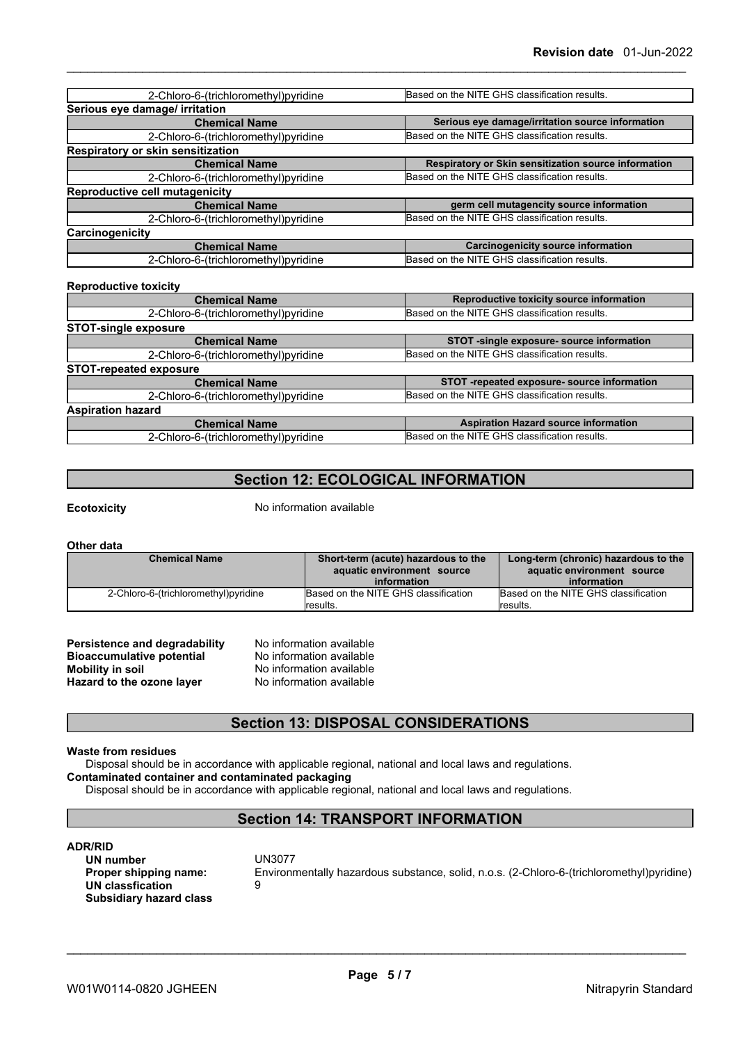| 2-Chloro-6-(trichloromethyl) pyridine | Based on the NITE GHS classification results.        |
|---------------------------------------|------------------------------------------------------|
| Serious eye damage/ irritation        |                                                      |
| <b>Chemical Name</b>                  | Serious eye damage/irritation source information     |
| 2-Chloro-6-(trichloromethyl) pyridine | Based on the NITE GHS classification results.        |
| Respiratory or skin sensitization     |                                                      |
| <b>Chemical Name</b>                  | Respiratory or Skin sensitization source information |
| 2-Chloro-6-(trichloromethyl) pyridine | Based on the NITE GHS classification results.        |
| <b>Reproductive cell mutagenicity</b> |                                                      |
| <b>Chemical Name</b>                  | germ cell mutagencity source information             |
| 2-Chloro-6-(trichloromethyl) pyridine | Based on the NITE GHS classification results.        |
| Carcinogenicity                       |                                                      |
| <b>Chemical Name</b>                  | <b>Carcinogenicity source information</b>            |
| 2-Chloro-6-(trichloromethyl)pyridine  | Based on the NITE GHS classification results.        |

| <b>Reproductive toxicity</b>          |                                               |
|---------------------------------------|-----------------------------------------------|
| <b>Chemical Name</b>                  | Reproductive toxicity source information      |
| 2-Chloro-6-(trichloromethyl) pyridine | Based on the NITE GHS classification results. |
| <b>STOT-single exposure</b>           |                                               |
| <b>Chemical Name</b>                  | STOT -single exposure- source information     |
| 2-Chloro-6-(trichloromethyl)pyridine  | Based on the NITE GHS classification results. |
| <b>STOT-repeated exposure</b>         |                                               |
| <b>Chemical Name</b>                  | STOT-repeated exposure-source information     |
| 2-Chloro-6-(trichloromethyl)pyridine  | Based on the NITE GHS classification results. |
| <b>Aspiration hazard</b>              |                                               |
| <b>Chemical Name</b>                  | <b>Aspiration Hazard source information</b>   |
| 2-Chloro-6-(trichloromethyl)pyridine  | Based on the NITE GHS classification results. |

### **Section 12: ECOLOGICAL INFORMATION**

**Reproductive toxicity**

**Ecotoxicity** No information available

**Other data**

| <b>Chemical Name</b>                 | Short-term (acute) hazardous to the  | Long-term (chronic) hazardous to the |
|--------------------------------------|--------------------------------------|--------------------------------------|
|                                      | aquatic environment source           | aquatic environment source           |
|                                      | information                          | information                          |
| 2-Chloro-6-(trichloromethyl)pyridine | Based on the NITE GHS classification | Based on the NITE GHS classification |
|                                      | <i>cesults.</i>                      | results.                             |

| <b>Persistence and degradability</b> |
|--------------------------------------|
| <b>Bioaccumulative potential</b>     |
| <b>Mobility in soil</b>              |
| Hazard to the ozone layer            |

**No information available No information available Mobility in soil** No information available **Hazard to the ozone layer** No information available

### **Section 13: DISPOSAL CONSIDERATIONS**

#### **Waste from residues**

Disposal should be in accordance with applicable regional, national and local laws and regulations. **Contaminated container and contaminated packaging**

Disposal should be in accordance with applicable regional, national and local laws and regulations.

### **Section 14: TRANSPORT INFORMATION**

**ADR/RID UN** number<br>Proper shipping name: **UN** classfication **Subsidiary hazard class**

**Environmentally hazardous substance, solid, n.o.s. (2-Chloro-6-(trichloromethyl)pyridine)**<br>9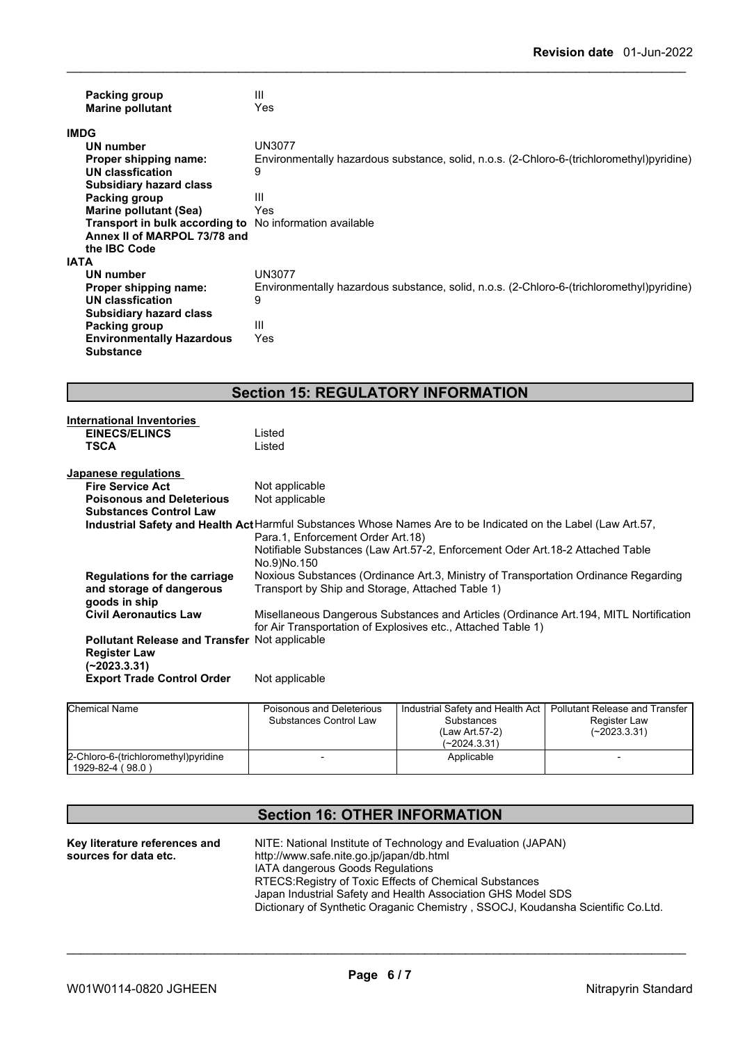|             | Packing group<br><b>Marine pollutant</b>                       | Ш<br>Yes                                                                                  |
|-------------|----------------------------------------------------------------|-------------------------------------------------------------------------------------------|
|             | <b>IMDG</b>                                                    |                                                                                           |
|             | UN number                                                      | <b>UN3077</b>                                                                             |
|             | Proper shipping name:                                          | Environmentally hazardous substance, solid, n.o.s. (2-Chloro-6-(trichloromethyl)pyridine) |
|             | UN classfication                                               | 9                                                                                         |
|             | <b>Subsidiary hazard class</b>                                 |                                                                                           |
|             | Packing group                                                  | Ш                                                                                         |
|             | Marine pollutant (Sea)                                         | Yes                                                                                       |
|             | <b>Transport in bulk according to</b> No information available |                                                                                           |
|             | Annex II of MARPOL 73/78 and                                   |                                                                                           |
|             | the IBC Code                                                   |                                                                                           |
| <b>IATA</b> |                                                                |                                                                                           |
|             | UN number                                                      | <b>UN3077</b>                                                                             |
|             | Proper shipping name:                                          | Environmentally hazardous substance, solid, n.o.s. (2-Chloro-6-(trichloromethyl)pyridine) |
|             | UN classfication                                               | 9                                                                                         |
|             | <b>Subsidiary hazard class</b>                                 |                                                                                           |
|             | Packing group                                                  | Ш                                                                                         |
|             | <b>Environmentally Hazardous</b>                               | Yes                                                                                       |
|             | <b>Substance</b>                                               |                                                                                           |
|             |                                                                |                                                                                           |

## **Section 15: REGULATORY INFORMATION**

| <b>International Inventories</b>                     |                                                                                                               |
|------------------------------------------------------|---------------------------------------------------------------------------------------------------------------|
| <b>EINECS/ELINCS</b>                                 | Listed                                                                                                        |
| <b>TSCA</b>                                          | Listed                                                                                                        |
|                                                      |                                                                                                               |
| Japanese regulations                                 |                                                                                                               |
| <b>Fire Service Act</b>                              | Not applicable                                                                                                |
| <b>Poisonous and Deleterious</b>                     | Not applicable                                                                                                |
| <b>Substances Control Law</b>                        |                                                                                                               |
|                                                      | Industrial Safety and Health Act Harmful Substances Whose Names Are to be Indicated on the Label (Law Art.57, |
|                                                      | Para.1, Enforcement Order Art.18)                                                                             |
|                                                      | Notifiable Substances (Law Art.57-2, Enforcement Oder Art.18-2 Attached Table                                 |
|                                                      | No.9)No.150                                                                                                   |
| Regulations for the carriage                         | Noxious Substances (Ordinance Art.3, Ministry of Transportation Ordinance Regarding                           |
| and storage of dangerous                             | Transport by Ship and Storage, Attached Table 1)                                                              |
| goods in ship                                        |                                                                                                               |
| <b>Civil Aeronautics Law</b>                         | Misellaneous Dangerous Substances and Articles (Ordinance Art. 194, MITL Nortification                        |
|                                                      | for Air Transportation of Explosives etc., Attached Table 1)                                                  |
| <b>Pollutant Release and Transfer Not applicable</b> |                                                                                                               |
| <b>Register Law</b>                                  |                                                                                                               |
| $(-2023.3.31)$                                       |                                                                                                               |
| <b>Export Trade Control Order</b>                    | Not applicable                                                                                                |
|                                                      |                                                                                                               |
|                                                      |                                                                                                               |

| <b>Chemical Name</b>                                      | Poisonous and Deleterious<br>Substances Control Law | Industrial Safety and Health Act  <br>Substances<br>(Law Art 57-2)<br>$(-2024.3.31)$ | Pollutant Release and Transfer<br>Register Law<br>$(-2023.3.31)$ |
|-----------------------------------------------------------|-----------------------------------------------------|--------------------------------------------------------------------------------------|------------------------------------------------------------------|
| 2-Chloro-6-(trichloromethyl) pyridine<br>1929-82-4 (98.0) |                                                     | Applicable                                                                           |                                                                  |

| <b>Section 16: OTHER INFORMATION</b>                   |                                                                                                                                                                                                                                                                                                                                                                    |  |
|--------------------------------------------------------|--------------------------------------------------------------------------------------------------------------------------------------------------------------------------------------------------------------------------------------------------------------------------------------------------------------------------------------------------------------------|--|
| Key literature references and<br>sources for data etc. | NITE: National Institute of Technology and Evaluation (JAPAN)<br>http://www.safe.nite.go.jp/japan/db.html<br><b>IATA dangerous Goods Regulations</b><br>RTECS: Registry of Toxic Effects of Chemical Substances<br>Japan Industrial Safety and Health Association GHS Model SDS<br>Dictionary of Synthetic Oraganic Chemistry, SSOCJ, Koudansha Scientific Co.Ltd. |  |